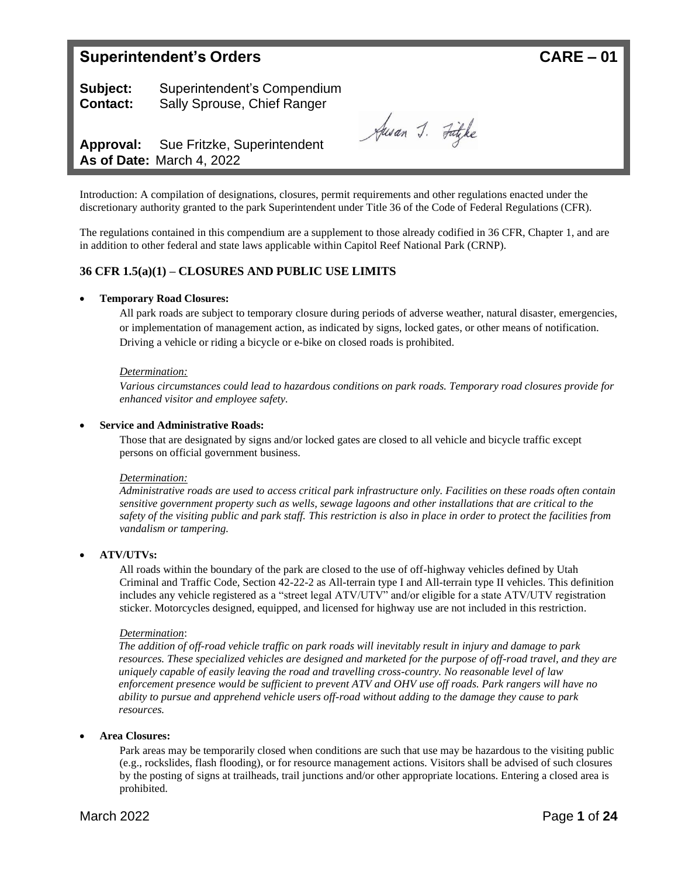# **Superintendent's Orders CARE – 01**

**Subject:** Superintendent's Compendium **Contact:** Sally Sprouse, Chief Ranger

Jusan J. Fügke

**Approval:** Sue Fritzke, Superintendent **As of Date:** March 4, 2022

Introduction: A compilation of designations, closures, permit requirements and other regulations enacted under the discretionary authority granted to the park Superintendent under Title 36 of the Code of Federal Regulations (CFR).

The regulations contained in this compendium are a supplement to those already codified in 36 CFR, Chapter 1, and are in addition to other federal and state laws applicable within Capitol Reef National Park (CRNP).

## **36 CFR 1.5(a)(1) – CLOSURES AND PUBLIC USE LIMITS**

## • **Temporary Road Closures:**

All park roads are subject to temporary closure during periods of adverse weather, natural disaster, emergencies, or implementation of management action, as indicated by signs, locked gates, or other means of notification. Driving a vehicle or riding a bicycle or e-bike on closed roads is prohibited.

#### *Determination:*

*Various circumstances could lead to hazardous conditions on park roads. Temporary road closures provide for enhanced visitor and employee safety.*

#### • **Service and Administrative Roads:**

Those that are designated by signs and/or locked gates are closed to all vehicle and bicycle traffic except persons on official government business.

#### *Determination:*

*Administrative roads are used to access critical park infrastructure only. Facilities on these roads often contain sensitive government property such as wells, sewage lagoons and other installations that are critical to the safety of the visiting public and park staff. This restriction is also in place in order to protect the facilities from vandalism or tampering.*

## • **ATV/UTVs:**

All roads within the boundary of the park are closed to the use of off-highway vehicles defined by Utah Criminal and Traffic Code, Section 42-22-2 as All-terrain type I and All-terrain type II vehicles. This definition includes any vehicle registered as a "street legal ATV/UTV" and/or eligible for a state ATV/UTV registration sticker. Motorcycles designed, equipped, and licensed for highway use are not included in this restriction.

#### *Determination*:

*The addition of off-road vehicle traffic on park roads will inevitably result in injury and damage to park resources. These specialized vehicles are designed and marketed for the purpose of off-road travel, and they are uniquely capable of easily leaving the road and travelling cross-country. No reasonable level of law enforcement presence would be sufficient to prevent ATV and OHV use off roads. Park rangers will have no ability to pursue and apprehend vehicle users off-road without adding to the damage they cause to park resources.*

#### • **Area Closures:**

Park areas may be temporarily closed when conditions are such that use may be hazardous to the visiting public (e.g., rockslides, flash flooding), or for resource management actions. Visitors shall be advised of such closures by the posting of signs at trailheads, trail junctions and/or other appropriate locations. Entering a closed area is prohibited.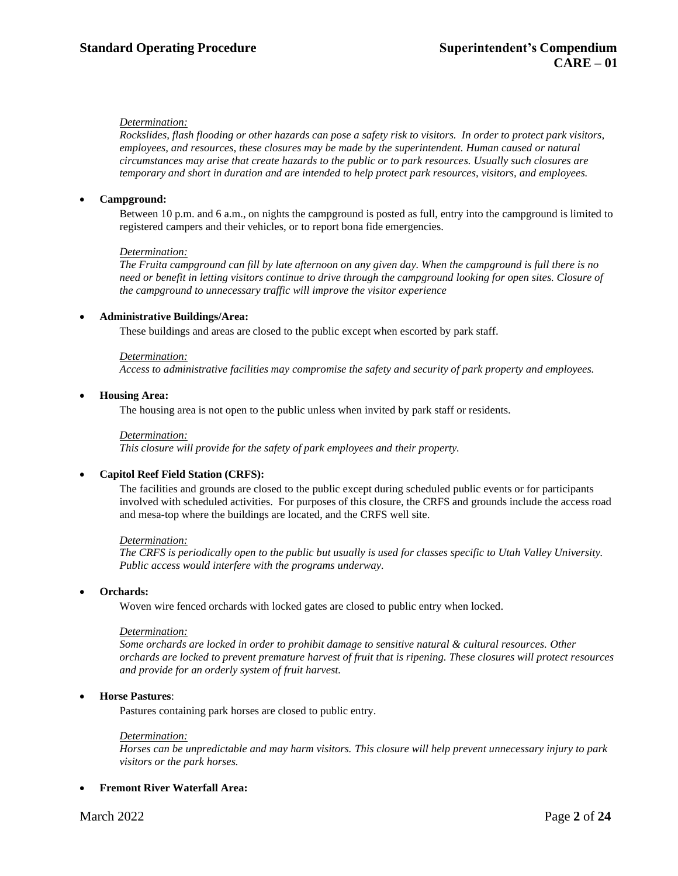Rockslides, flash flooding or other hazards can pose a safety risk to visitors. In order to protect park visitors, *employees, and resources, these closures may be made by the superintendent. Human caused or natural circumstances may arise that create hazards to the public or to park resources. Usually such closures are temporary and short in duration and are intended to help protect park resources, visitors, and employees.*

## • **Campground:**

Between 10 p.m. and 6 a.m., on nights the campground is posted as full, entry into the campground is limited to registered campers and their vehicles, or to report bona fide emergencies.

#### *Determination:*

*The Fruita campground can fill by late afternoon on any given day. When the campground is full there is no* need or benefit in letting visitors continue to drive through the campground looking for open sites. Closure of *the campground to unnecessary traffic will improve the visitor experience*

## • **Administrative Buildings/Area:**

These buildings and areas are closed to the public except when escorted by park staff.

#### *Determination:*

*Access to administrative facilities may compromise the safety and security of park property and employees.*

#### • **Housing Area:**

The housing area is not open to the public unless when invited by park staff or residents.

#### *Determination:*

*This closure will provide for the safety of park employees and their property.*

#### • **Capitol Reef Field Station (CRFS):**

The facilities and grounds are closed to the public except during scheduled public events or for participants involved with scheduled activities. For purposes of this closure, the CRFS and grounds include the access road and mesa-top where the buildings are located, and the CRFS well site.

#### *Determination:*

*The CRFS is periodically open to the public but usually is used for classes specific to Utah Valley University. Public access would interfere with the programs underway.*

#### • **Orchards:**

Woven wire fenced orchards with locked gates are closed to public entry when locked.

#### *Determination:*

*Some orchards are locked in order to prohibit damage to sensitive natural & cultural resources. Other orchards are locked to prevent premature harvest of fruit that is ripening. These closures will protect resources and provide for an orderly system of fruit harvest.*

#### • **Horse Pastures**:

Pastures containing park horses are closed to public entry.

## *Determination:*

*Horses can be unpredictable and may harm visitors. This closure will help prevent unnecessary injury to park visitors or the park horses.*

#### • **Fremont River Waterfall Area:**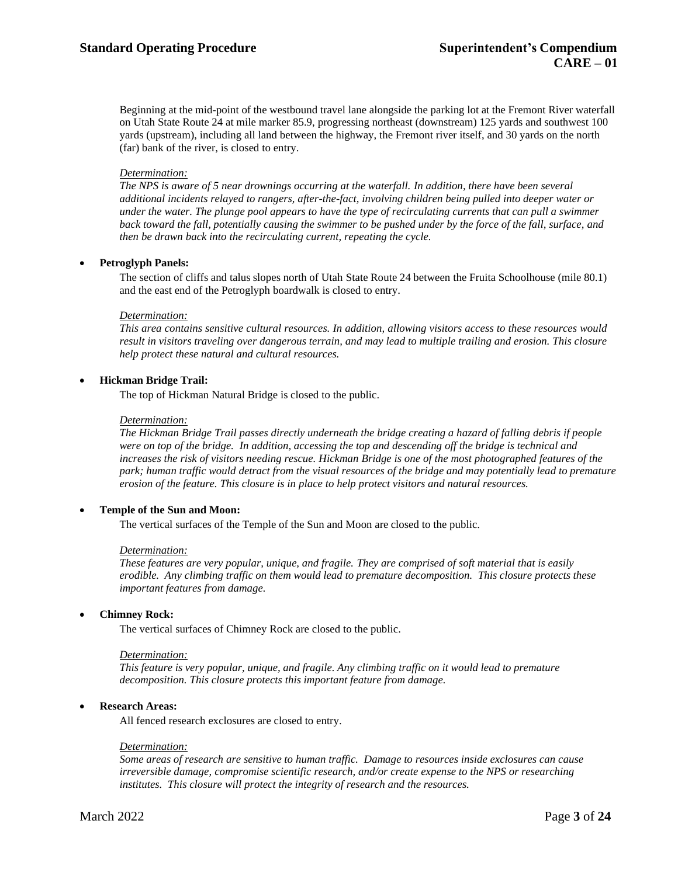Beginning at the mid-point of the westbound travel lane alongside the parking lot at the Fremont River waterfall on Utah State Route 24 at mile marker 85.9, progressing northeast (downstream) 125 yards and southwest 100 yards (upstream), including all land between the highway, the Fremont river itself, and 30 yards on the north (far) bank of the river, is closed to entry.

#### *Determination:*

*The NPS is aware of 5 near drownings occurring at the waterfall. In addition, there have been several additional incidents relayed to rangers, after-the-fact, involving children being pulled into deeper water or under the water. The plunge pool appears to have the type of recirculating currents that can pull a swimmer* back toward the fall, potentially causing the swimmer to be pushed under by the force of the fall, surface, and *then be drawn back into the recirculating current, repeating the cycle.*

## • **Petroglyph Panels:**

The section of cliffs and talus slopes north of Utah State Route 24 between the Fruita Schoolhouse (mile 80.1) and the east end of the Petroglyph boardwalk is closed to entry.

#### *Determination:*

*This area contains sensitive cultural resources. In addition, allowing visitors access to these resources would result in visitors traveling over dangerous terrain, and may lead to multiple trailing and erosion. This closure help protect these natural and cultural resources.*

## • **Hickman Bridge Trail:**

The top of Hickman Natural Bridge is closed to the public.

#### *Determination:*

*The Hickman Bridge Trail passes directly underneath the bridge creating a hazard of falling debris if people were on top of the bridge. In addition, accessing the top and descending off the bridge is technical and increases the risk of visitors needing rescue. Hickman Bridge is one of the most photographed features of the park; human traffic would detract from the visual resources of the bridge and may potentially lead to premature erosion of the feature. This closure is in place to help protect visitors and natural resources.*

## • **Temple of the Sun and Moon:**

The vertical surfaces of the Temple of the Sun and Moon are closed to the public.

#### *Determination:*

*These features are very popular, unique, and fragile. They are comprised of soft material that is easily erodible. Any climbing traffic on them would lead to premature decomposition. This closure protects these important features from damage.*

#### • **Chimney Rock:**

The vertical surfaces of Chimney Rock are closed to the public.

#### *Determination:*

*This feature is very popular, unique, and fragile. Any climbing traffic on it would lead to premature decomposition. This closure protects this important feature from damage.*

#### • **Research Areas:**

All fenced research exclosures are closed to entry.

#### *Determination:*

*Some areas of research are sensitive to human traffic. Damage to resources inside exclosures can cause irreversible damage, compromise scientific research, and/or create expense to the NPS or researching institutes. This closure will protect the integrity of research and the resources.*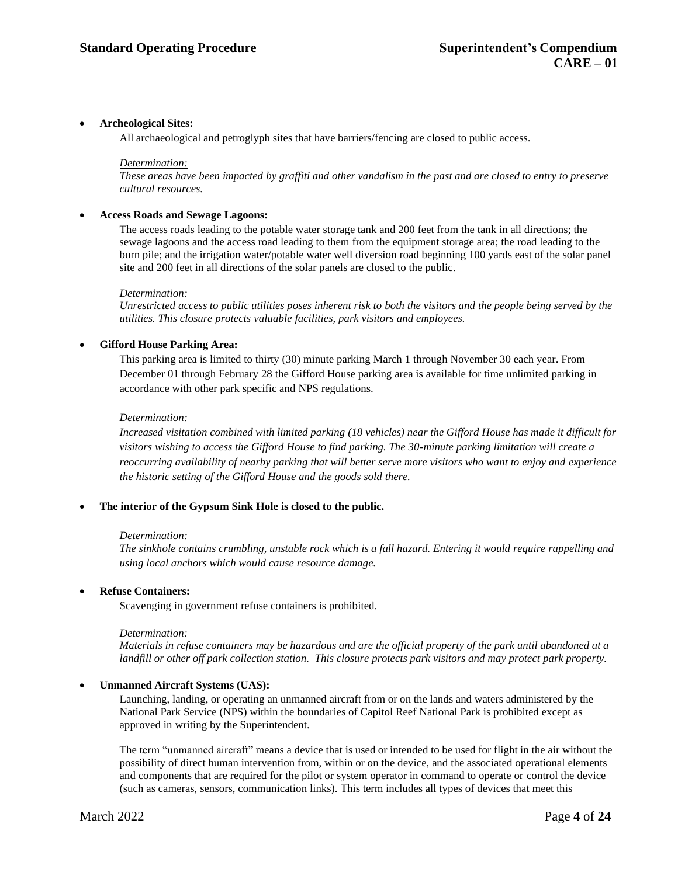## • **Archeological Sites:**

All archaeological and petroglyph sites that have barriers/fencing are closed to public access.

#### *Determination:*

These areas have been impacted by graffiti and other vandalism in the past and are closed to entry to preserve *cultural resources.*

## • **Access Roads and Sewage Lagoons:**

The access roads leading to the potable water storage tank and 200 feet from the tank in all directions; the sewage lagoons and the access road leading to them from the equipment storage area; the road leading to the burn pile; and the irrigation water/potable water well diversion road beginning 100 yards east of the solar panel site and 200 feet in all directions of the solar panels are closed to the public.

## *Determination:*

*Unrestricted access to public utilities poses inherent risk to both the visitors and the people being served by the utilities. This closure protects valuable facilities, park visitors and employees.*

## • **Gifford House Parking Area:**

This parking area is limited to thirty (30) minute parking March 1 through November 30 each year. From December 01 through February 28 the Gifford House parking area is available for time unlimited parking in accordance with other park specific and NPS regulations.

## *Determination:*

Increased visitation combined with limited parking (18 vehicles) near the Gifford House has made it difficult for *visitors wishing to access the Gifford House to find parking. The 30-minute parking limitation will create a reoccurring availability of nearby parking that will better serve more visitors who want to enjoy and experience the historic setting of the Gifford House and the goods sold there.*

## • **The interior of the Gypsum Sink Hole is closed to the public.**

#### *Determination:*

*The sinkhole contains crumbling, unstable rock which is a fall hazard. Entering it would require rappelling and using local anchors which would cause resource damage.*

## • **Refuse Containers:**

Scavenging in government refuse containers is prohibited.

#### *Determination:*

Materials in refuse containers may be hazardous and are the official property of the park until abandoned at a *landfill or other off park collection station. This closure protects park visitors and may protect park property.*

## • **Unmanned Aircraft Systems (UAS):**

Launching, landing, or operating an unmanned aircraft from or on the lands and waters administered by the National Park Service (NPS) within the boundaries of Capitol Reef National Park is prohibited except as approved in writing by the Superintendent.

The term "unmanned aircraft" means a device that is used or intended to be used for flight in the air without the possibility of direct human intervention from, within or on the device, and the associated operational elements and components that are required for the pilot or system operator in command to operate or control the device (such as cameras, sensors, communication links). This term includes all types of devices that meet this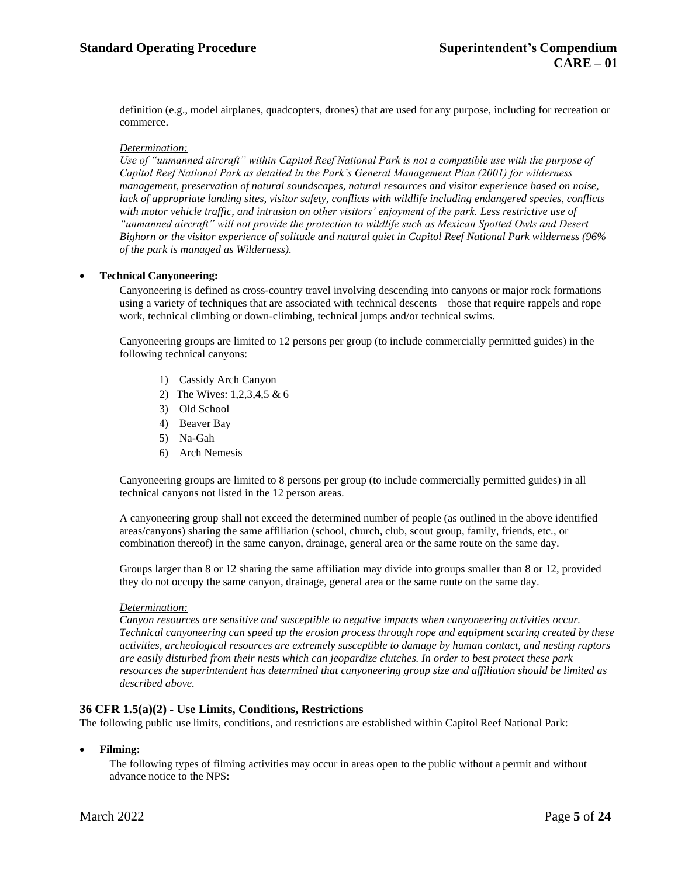definition (e.g., model airplanes, quadcopters, drones) that are used for any purpose, including for recreation or commerce.

## *Determination:*

*Use of "unmanned aircraft" within Capitol Reef National Park is not a compatible use with the purpose of Capitol Reef National Park as detailed in the Park's General Management Plan (2001) for wilderness management, preservation of natural soundscapes, natural resources and visitor experience based on noise, lack of appropriate landing sites, visitor safety, conflicts with wildlife including endangered species, conflicts with motor vehicle traffic, and intrusion on other visitors' enjoyment of the park. Less restrictive use of "unmanned aircraft" will not provide the protection to wildlife such as Mexican Spotted Owls and Desert Bighorn or the visitor experience of solitude and natural quiet in Capitol Reef National Park wilderness (96% of the park is managed as Wilderness).*

#### • **Technical Canyoneering:**

Canyoneering is defined as cross-country travel involving descending into canyons or major rock formations using a variety of techniques that are associated with technical descents – those that require rappels and rope work, technical climbing or down-climbing, technical jumps and/or technical swims.

Canyoneering groups are limited to 12 persons per group (to include commercially permitted guides) in the following technical canyons:

- 1) Cassidy Arch Canyon
- 2) The Wives: 1,2,3,4,5 & 6
- 3) Old School
- 4) Beaver Bay
- 5) Na-Gah
- 6) Arch Nemesis

Canyoneering groups are limited to 8 persons per group (to include commercially permitted guides) in all technical canyons not listed in the 12 person areas.

A canyoneering group shall not exceed the determined number of people (as outlined in the above identified areas/canyons) sharing the same affiliation (school, church, club, scout group, family, friends, etc., or combination thereof) in the same canyon, drainage, general area or the same route on the same day.

Groups larger than 8 or 12 sharing the same affiliation may divide into groups smaller than 8 or 12, provided they do not occupy the same canyon, drainage, general area or the same route on the same day.

#### *Determination:*

*Canyon resources are sensitive and susceptible to negative impacts when canyoneering activities occur. Technical canyoneering can speed up the erosion process through rope and equipment scaring created by these activities, archeological resources are extremely susceptible to damage by human contact, and nesting raptors are easily disturbed from their nests which can jeopardize clutches. In order to best protect these park resources the superintendent has determined that canyoneering group size and affiliation should be limited as described above.*

#### **36 CFR 1.5(a)(2) - Use Limits, Conditions, Restrictions**

The following public use limits, conditions, and restrictions are established within Capitol Reef National Park:

## • **Filming:**

The following types of filming activities may occur in areas open to the public without a permit and without advance notice to the NPS: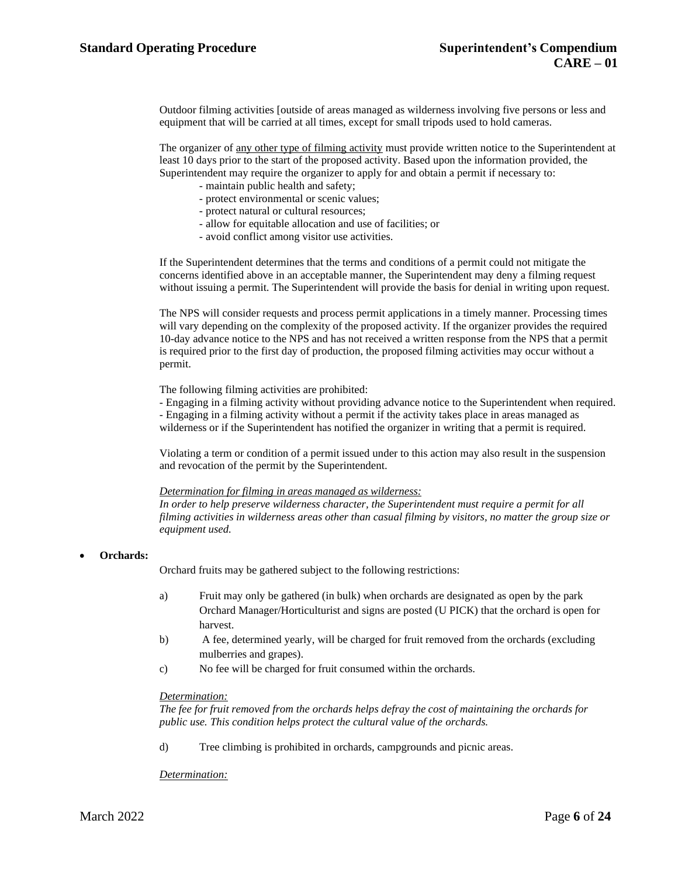Outdoor filming activities [outside of areas managed as wilderness involving five persons or less and equipment that will be carried at all times, except for small tripods used to hold cameras.

The organizer of any other type of filming activity must provide written notice to the Superintendent at least 10 days prior to the start of the proposed activity. Based upon the information provided, the Superintendent may require the organizer to apply for and obtain a permit if necessary to:

- maintain public health and safety;
- protect environmental or scenic values;
- protect natural or cultural resources;
- allow for equitable allocation and use of facilities; or
- avoid conflict among visitor use activities.

If the Superintendent determines that the terms and conditions of a permit could not mitigate the concerns identified above in an acceptable manner, the Superintendent may deny a filming request without issuing a permit. The Superintendent will provide the basis for denial in writing upon request.

The NPS will consider requests and process permit applications in a timely manner. Processing times will vary depending on the complexity of the proposed activity. If the organizer provides the required 10-day advance notice to the NPS and has not received a written response from the NPS that a permit is required prior to the first day of production, the proposed filming activities may occur without a permit.

The following filming activities are prohibited:

- Engaging in a filming activity without providing advance notice to the Superintendent when required.

- Engaging in a filming activity without a permit if the activity takes place in areas managed as wilderness or if the Superintendent has notified the organizer in writing that a permit is required.

Violating a term or condition of a permit issued under to this action may also result in the suspension and revocation of the permit by the Superintendent.

## *Determination for filming in areas managed as wilderness:*

*In order to help preserve wilderness character, the Superintendent must require a permit for all filming activities in wilderness areas other than casual filming by visitors, no matter the group size or equipment used.*

• **Orchards:**

Orchard fruits may be gathered subject to the following restrictions:

- a) Fruit may only be gathered (in bulk) when orchards are designated as open by the park Orchard Manager/Horticulturist and signs are posted (U PICK) that the orchard is open for harvest.
- b) A fee, determined yearly, will be charged for fruit removed from the orchards (excluding mulberries and grapes).
- c) No fee will be charged for fruit consumed within the orchards.

#### *Determination:*

*The fee for fruit removed from the orchards helps defray the cost of maintaining the orchards for public use. This condition helps protect the cultural value of the orchards.*

d) Tree climbing is prohibited in orchards, campgrounds and picnic areas.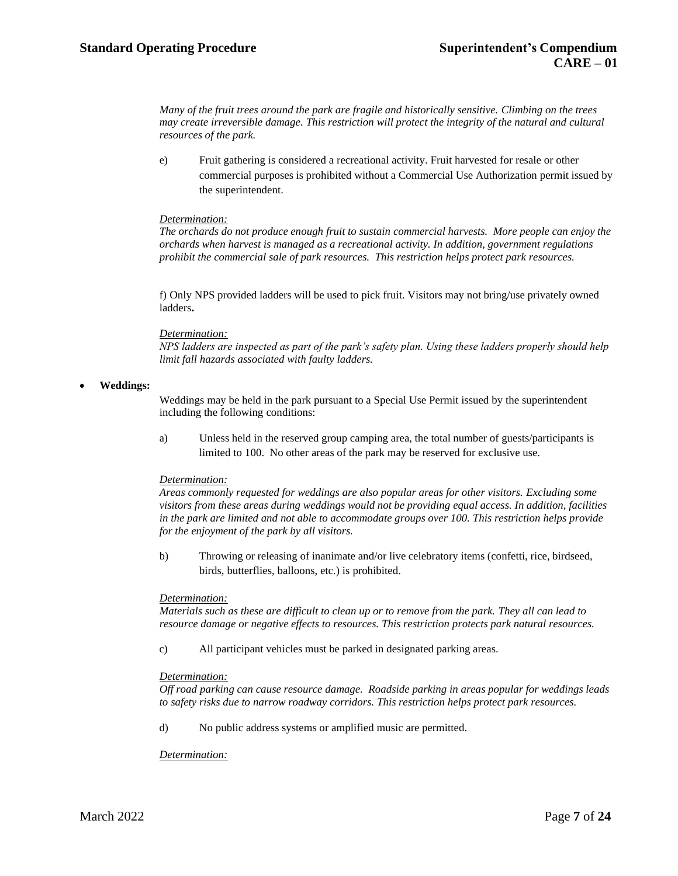*Many of the fruit trees around the park are fragile and historically sensitive. Climbing on the trees may create irreversible damage. This restriction will protect the integrity of the natural and cultural resources of the park.*

e) Fruit gathering is considered a recreational activity. Fruit harvested for resale or other commercial purposes is prohibited without a Commercial Use Authorization permit issued by the superintendent.

## *Determination:*

*The orchards do not produce enough fruit to sustain commercial harvests. More people can enjoy the orchards when harvest is managed as a recreational activity. In addition, government regulations prohibit the commercial sale of park resources. This restriction helps protect park resources.*

f) Only NPS provided ladders will be used to pick fruit. Visitors may not bring/use privately owned ladders**.**

## *Determination:*

*NPS ladders are inspected as part of the park's safety plan. Using these ladders properly should help limit fall hazards associated with faulty ladders.*

## • **Weddings:**

Weddings may be held in the park pursuant to a Special Use Permit issued by the superintendent including the following conditions:

a) Unless held in the reserved group camping area, the total number of guests/participants is limited to 100. No other areas of the park may be reserved for exclusive use.

## *Determination:*

*Areas commonly requested for weddings are also popular areas for other visitors. Excluding some visitors from these areas during weddings would not be providing equal access. In addition, facilities in the park are limited and not able to accommodate groups over 100. This restriction helps provide for the enjoyment of the park by all visitors.*

b) Throwing or releasing of inanimate and/or live celebratory items (confetti, rice, birdseed, birds, butterflies, balloons, etc.) is prohibited.

## *Determination:*

*Materials such as these are difficult to clean up or to remove from the park. They all can lead to resource damage or negative effects to resources. This restriction protects park natural resources.*

c) All participant vehicles must be parked in designated parking areas.

#### *Determination:*

*Off road parking can cause resource damage. Roadside parking in areas popular for weddings leads to safety risks due to narrow roadway corridors. This restriction helps protect park resources.*

d) No public address systems or amplified music are permitted.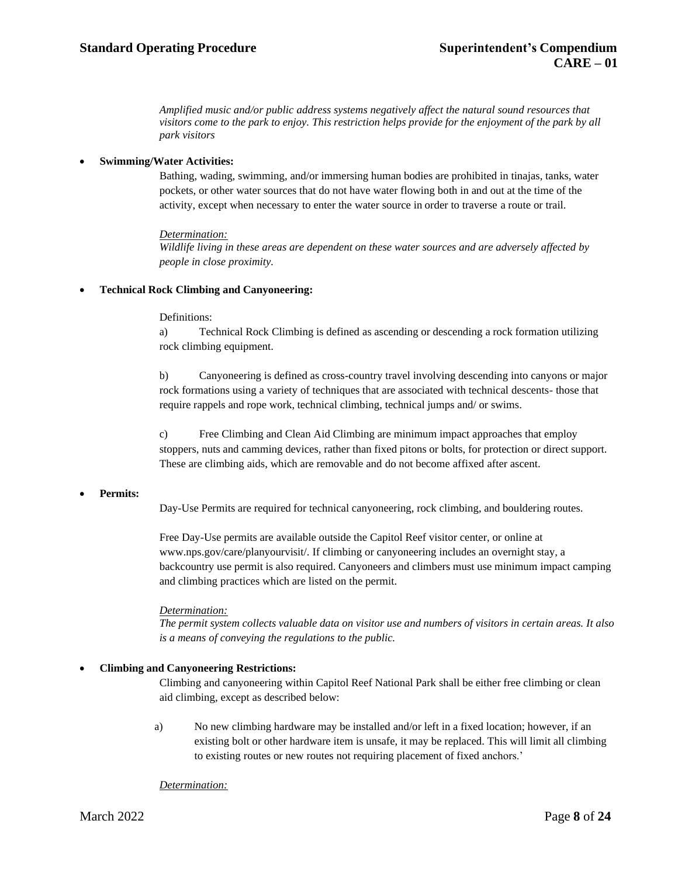*Amplified music and/or public address systems negatively affect the natural sound resources that visitors come to the park to enjoy. This restriction helps provide for the enjoyment of the park by all park visitors*

## • **Swimming/Water Activities:**

Bathing, wading, swimming, and/or immersing human bodies are prohibited in tinajas, tanks, water pockets, or other water sources that do not have water flowing both in and out at the time of the activity, except when necessary to enter the water source in order to traverse a route or trail.

## *Determination:*

*Wildlife living in these areas are dependent on these water sources and are adversely affected by people in close proximity.*

## • **Technical Rock Climbing and Canyoneering:**

## Definitions:

a) Technical Rock Climbing is defined as ascending or descending a rock formation utilizing rock climbing equipment.

b) Canyoneering is defined as cross-country travel involving descending into canyons or major rock formations using a variety of techniques that are associated with technical descents- those that require rappels and rope work, technical climbing, technical jumps and/ or swims.

c) Free Climbing and Clean Aid Climbing are minimum impact approaches that employ stoppers, nuts and camming devices, rather than fixed pitons or bolts, for protection or direct support. These are climbing aids, which are removable and do not become affixed after ascent.

## • **Permits:**

Day-Use Permits are required for technical canyoneering, rock climbing, and bouldering routes.

Free Day-Use permits are available outside the Capitol Reef visitor center, or online at [www.nps.gov/care/planyourvisit/. I](http://www.nps.gov/care/planyourvisit/)f climbing or canyoneering includes an overnight stay, a backcountry use permit is also required. Canyoneers and climbers must use minimum impact camping and climbing practices which are listed on the permit.

## *Determination:*

*The permit system collects valuable data on visitor use and numbers of visitors in certain areas. It also is a means of conveying the regulations to the public.*

## • **Climbing and Canyoneering Restrictions:**

Climbing and canyoneering within Capitol Reef National Park shall be either free climbing or clean aid climbing, except as described below:

a) No new climbing hardware may be installed and/or left in a fixed location; however, if an existing bolt or other hardware item is unsafe, it may be replaced. This will limit all climbing to existing routes or new routes not requiring placement of fixed anchors.'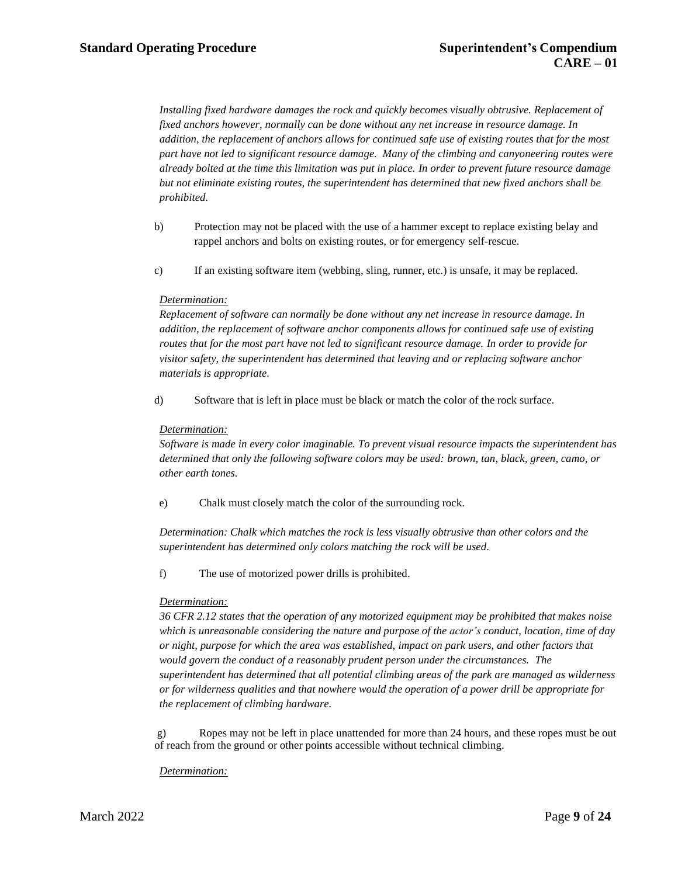*Installing fixed hardware damages the rock and quickly becomes visually obtrusive. Replacement of fixed anchors however, normally can be done without any net increase in resource damage. In addition, the replacement of anchors allows for continued safe use of existing routes that for the most part have not led to significant resource damage. Many of the climbing and canyoneering routes were already bolted at the time this limitation was put in place. In order to prevent future resource damage but not eliminate existing routes, the superintendent has determined that new fixed anchors shall be prohibited.*

- b) Protection may not be placed with the use of a hammer except to replace existing belay and rappel anchors and bolts on existing routes, or for emergency self-rescue.
- c) If an existing software item (webbing, sling, runner, etc.) is unsafe, it may be replaced.

## *Determination:*

*Replacement of software can normally be done without any net increase in resource damage. In addition, the replacement of software anchor components allows for continued safe use of existing routes that for the most part have not led to significant resource damage. In order to provide for visitor safety, the superintendent has determined that leaving and or replacing software anchor materials is appropriate.*

d) Software that is left in place must be black or match the color of the rock surface.

## *Determination:*

*Software is made in every color imaginable. To prevent visual resource impacts the superintendent has determined that only the following software colors may be used: brown, tan, black, green, camo, or other earth tones.*

e) Chalk must closely match the color of the surrounding rock.

*Determination: Chalk which matches the rock is less visually obtrusive than other colors and the superintendent has determined only colors matching the rock will be used*.

f) The use of motorized power drills is prohibited.

#### *Determination:*

*36 CFR 2.12 states that the operation of any motorized equipment may be prohibited that makes noise which is unreasonable considering the nature and purpose of the actor's conduct, location, time of day or night, purpose for which the area was established, impact on park users, and other factors that would govern the conduct of a reasonably prudent person under the circumstances. The superintendent has determined that all potential climbing areas of the park are managed as wilderness or for wilderness qualities and that nowhere would the operation of a power drill be appropriate for the replacement of climbing hardware.*

g) Ropes may not be left in place unattended for more than 24 hours, and these ropes must be out of reach from the ground or other points accessible without technical climbing.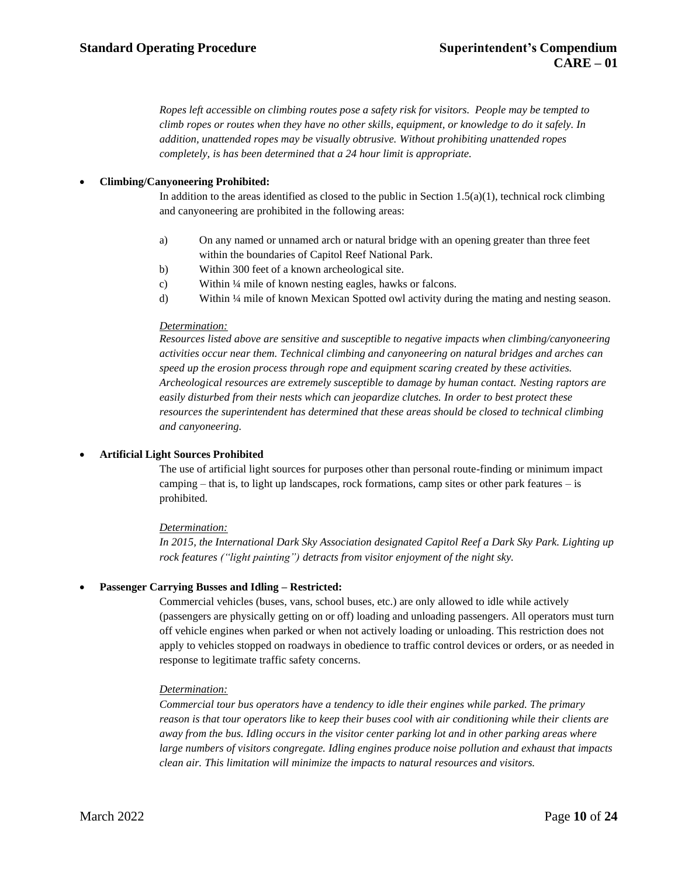*Ropes left accessible on climbing routes pose a safety risk for visitors. People may be tempted to climb ropes or routes when they have no other skills, equipment, or knowledge to do it safely. In addition, unattended ropes may be visually obtrusive. Without prohibiting unattended ropes completely, is has been determined that a 24 hour limit is appropriate.*

## • **Climbing/Canyoneering Prohibited:**

In addition to the areas identified as closed to the public in Section 1.5(a)(1), technical rock climbing and canyoneering are prohibited in the following areas:

- a) On any named or unnamed arch or natural bridge with an opening greater than three feet within the boundaries of Capitol Reef National Park.
- b) Within 300 feet of a known archeological site.
- c) Within ¼ mile of known nesting eagles, hawks or falcons.
- d) Within ¼ mile of known Mexican Spotted owl activity during the mating and nesting season.

## *Determination:*

*Resources listed above are sensitive and susceptible to negative impacts when climbing/canyoneering activities occur near them. Technical climbing and canyoneering on natural bridges and arches can speed up the erosion process through rope and equipment scaring created by these activities. Archeological resources are extremely susceptible to damage by human contact. Nesting raptors are easily disturbed from their nests which can jeopardize clutches. In order to best protect these resources the superintendent has determined that these areas should be closed to technical climbing and canyoneering.*

## • **Artificial Light Sources Prohibited**

The use of artificial light sources for purposes other than personal route-finding or minimum impact camping – that is, to light up landscapes, rock formations, camp sites or other park features – is prohibited.

## *Determination:*

*In 2015, the International Dark Sky Association designated Capitol Reef a Dark Sky Park. Lighting up rock features ("light painting") detracts from visitor enjoyment of the night sky.*

## • **Passenger Carrying Busses and Idling – Restricted:**

Commercial vehicles (buses, vans, school buses, etc.) are only allowed to idle while actively (passengers are physically getting on or off) loading and unloading passengers. All operators must turn off vehicle engines when parked or when not actively loading or unloading. This restriction does not apply to vehicles stopped on roadways in obedience to traffic control devices or orders, or as needed in response to legitimate traffic safety concerns.

## *Determination:*

*Commercial tour bus operators have a tendency to idle their engines while parked. The primary reason is that tour operators like to keep their buses cool with air conditioning while their clients are away from the bus. Idling occurs in the visitor center parking lot and in other parking areas where large numbers of visitors congregate. Idling engines produce noise pollution and exhaust that impacts clean air. This limitation will minimize the impacts to natural resources and visitors.*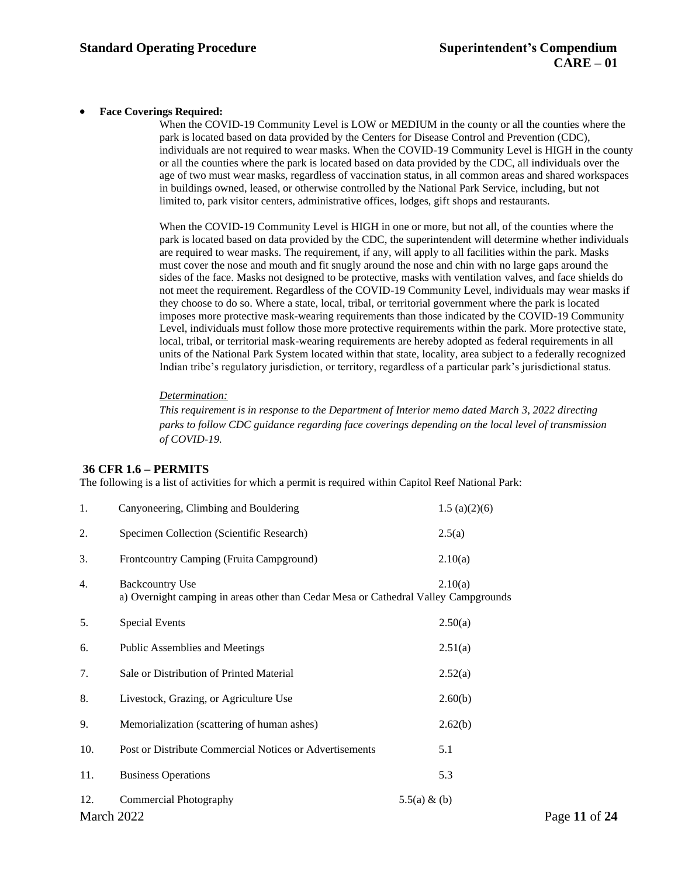## • **Face Coverings Required:**

When the COVID-19 Community Level is LOW or MEDIUM in the county or all the counties where the park is located based on data provided by the Centers for Disease Control and Prevention (CDC), individuals are not required to wear masks. When the COVID-19 Community Level is HIGH in the county or all the counties where the park is located based on data provided by the CDC, all individuals over the age of two must wear masks, regardless of vaccination status, in all common areas and shared workspaces in buildings owned, leased, or otherwise controlled by the National Park Service, including, but not limited to, park visitor centers, administrative offices, lodges, gift shops and restaurants.

When the COVID-19 Community Level is HIGH in one or more, but not all, of the counties where the park is located based on data provided by the CDC, the superintendent will determine whether individuals are required to wear masks. The requirement, if any, will apply to all facilities within the park. Masks must cover the nose and mouth and fit snugly around the nose and chin with no large gaps around the sides of the face. Masks not designed to be protective, masks with ventilation valves, and face shields do not meet the requirement. Regardless of the COVID-19 Community Level, individuals may wear masks if they choose to do so. Where a state, local, tribal, or territorial government where the park is located imposes more protective mask-wearing requirements than those indicated by the COVID-19 Community Level, individuals must follow those more protective requirements within the park. More protective state, local, tribal, or territorial mask-wearing requirements are hereby adopted as federal requirements in all units of the National Park System located within that state, locality, area subject to a federally recognized Indian tribe's regulatory jurisdiction, or territory, regardless of a particular park's jurisdictional status.

## *Determination:*

*This requirement is in response to the Department of Interior memo dated March 3, 2022 directing parks to follow CDC guidance regarding face coverings depending on the local level of transmission of COVID-19.*

## **36 CFR 1.6 – PERMITS**

The following is a list of activities for which a permit is required within Capitol Reef National Park:

| Canyoneering, Climbing and Bouldering                                                                                    | 1.5(a)(2)(6) |                 |
|--------------------------------------------------------------------------------------------------------------------------|--------------|-----------------|
| Specimen Collection (Scientific Research)                                                                                | 2.5(a)       |                 |
| Frontcountry Camping (Fruita Campground)                                                                                 | 2.10(a)      |                 |
| <b>Backcountry Use</b><br>2.10(a)<br>a) Overnight camping in areas other than Cedar Mesa or Cathedral Valley Campgrounds |              |                 |
| <b>Special Events</b>                                                                                                    | 2.50(a)      |                 |
| Public Assemblies and Meetings                                                                                           | 2.51(a)      |                 |
| Sale or Distribution of Printed Material                                                                                 | 2.52(a)      |                 |
| Livestock, Grazing, or Agriculture Use                                                                                   | 2.60(b)      |                 |
| Memorialization (scattering of human ashes)                                                                              | 2.62(b)      |                 |
| Post or Distribute Commercial Notices or Advertisements                                                                  | 5.1          |                 |
| <b>Business Operations</b>                                                                                               | 5.3          |                 |
| <b>Commercial Photography</b>                                                                                            |              | Page 11 of 24   |
|                                                                                                                          | March 2022   | $5.5(a) \& (b)$ |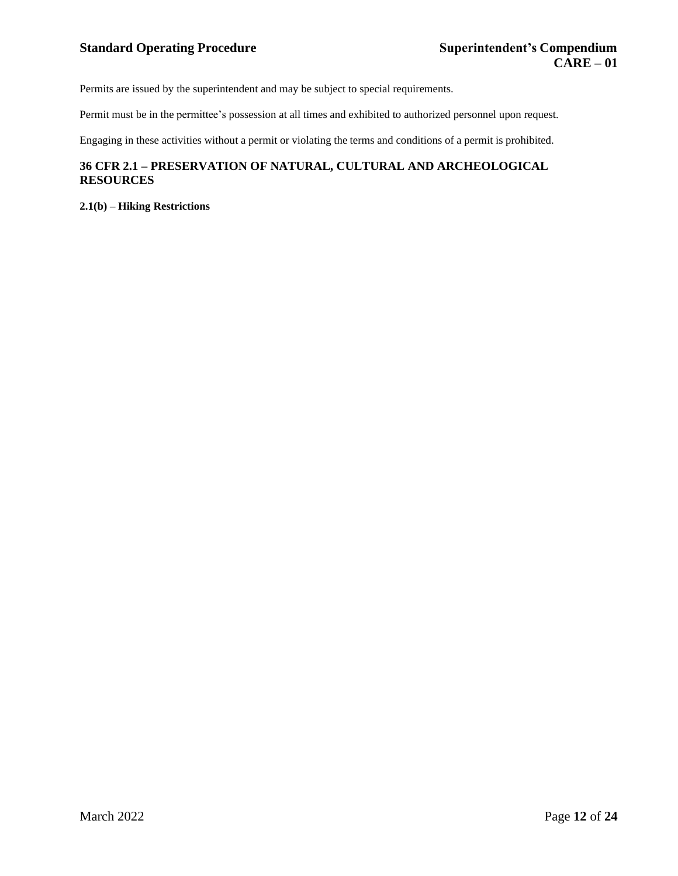Permits are issued by the superintendent and may be subject to special requirements.

Permit must be in the permittee's possession at all times and exhibited to authorized personnel upon request.

Engaging in these activities without a permit or violating the terms and conditions of a permit is prohibited.

## **36 CFR 2.1 – PRESERVATION OF NATURAL, CULTURAL AND ARCHEOLOGICAL RESOURCES**

**2.1(b) – Hiking Restrictions**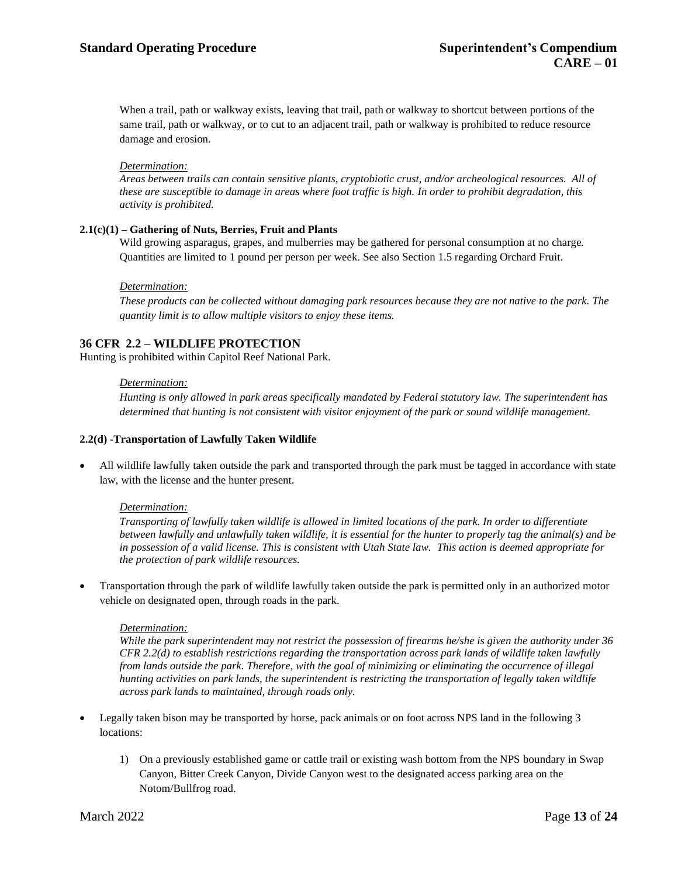When a trail, path or walkway exists, leaving that trail, path or walkway to shortcut between portions of the same trail, path or walkway, or to cut to an adjacent trail, path or walkway is prohibited to reduce resource damage and erosion.

## *Determination:*

*Areas between trails can contain sensitive plants, cryptobiotic crust, and/or archeological resources. All of these are susceptible to damage in areas where foot traffic is high. In order to prohibit degradation, this activity is prohibited.*

## **2.1(c)(1) – Gathering of Nuts, Berries, Fruit and Plants**

Wild growing asparagus, grapes, and mulberries may be gathered for personal consumption at no charge. Quantities are limited to 1 pound per person per week. See also Section 1.5 regarding Orchard Fruit.

## *Determination:*

*These products can be collected without damaging park resources because they are not native to the park. The quantity limit is to allow multiple visitors to enjoy these items.*

## **36 CFR 2.2 – WILDLIFE PROTECTION**

Hunting is prohibited within Capitol Reef National Park.

## *Determination:*

*Hunting is only allowed in park areas specifically mandated by Federal statutory law. The superintendent has determined that hunting is not consistent with visitor enjoyment of the park or sound wildlife management.*

## **2.2(d) -Transportation of Lawfully Taken Wildlife**

• All wildlife lawfully taken outside the park and transported through the park must be tagged in accordance with state law, with the license and the hunter present.

## *Determination:*

*Transporting of lawfully taken wildlife is allowed in limited locations of the park. In order to differentiate between lawfully and unlawfully taken wildlife, it is essential for the hunter to properly tag the animal(s) and be in possession of a valid license. This is consistent with Utah State law. This action is deemed appropriate for the protection of park wildlife resources.*

• Transportation through the park of wildlife lawfully taken outside the park is permitted only in an authorized motor vehicle on designated open, through roads in the park.

#### *Determination:*

*While the park superintendent may not restrict the possession of firearms he/she is given the authority under 36 CFR 2.2(d) to establish restrictions regarding the transportation across park lands of wildlife taken lawfully from lands outside the park. Therefore, with the goal of minimizing or eliminating the occurrence of illegal hunting activities on park lands, the superintendent is restricting the transportation of legally taken wildlife across park lands to maintained, through roads only.*

- Legally taken bison may be transported by horse, pack animals or on foot across NPS land in the following 3 locations:
	- 1) On a previously established game or cattle trail or existing wash bottom from the NPS boundary in Swap Canyon, Bitter Creek Canyon, Divide Canyon west to the designated access parking area on the Notom/Bullfrog road.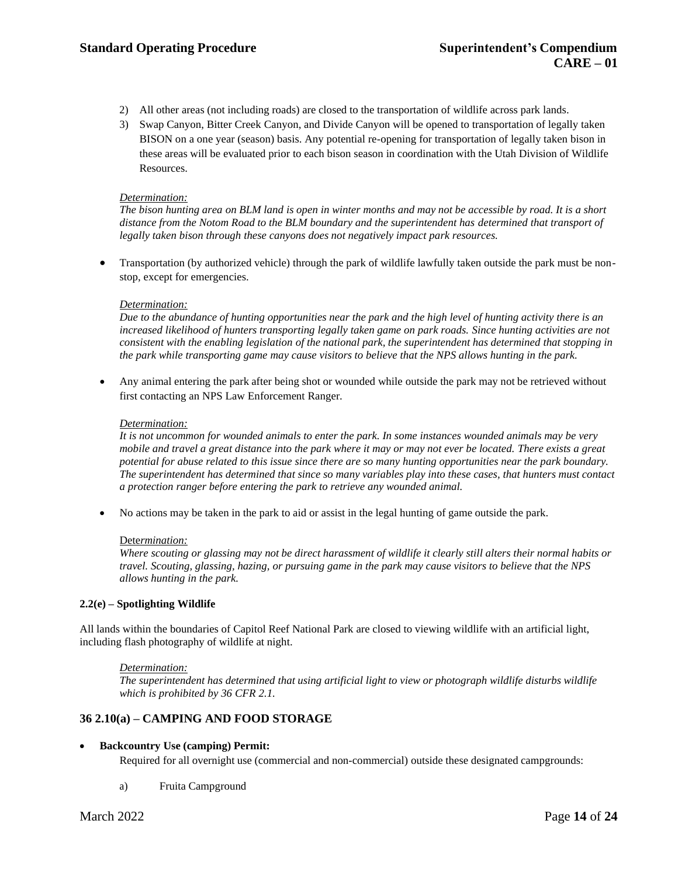- 2) All other areas (not including roads) are closed to the transportation of wildlife across park lands.
- 3) Swap Canyon, Bitter Creek Canyon, and Divide Canyon will be opened to transportation of legally taken BISON on a one year (season) basis. Any potential re-opening for transportation of legally taken bison in these areas will be evaluated prior to each bison season in coordination with the Utah Division of Wildlife Resources.

The bison hunting area on BLM land is open in winter months and may not be accessible by road. It is a short *distance from the Notom Road to the BLM boundary and the superintendent has determined that transport of legally taken bison through these canyons does not negatively impact park resources.*

• Transportation (by authorized vehicle) through the park of wildlife lawfully taken outside the park must be nonstop, except for emergencies.

## *Determination:*

*Due to the abundance of hunting opportunities near the park and the high level of hunting activity there is an increased likelihood of hunters transporting legally taken game on park roads. Since hunting activities are not consistent with the enabling legislation of the national park, the superintendent has determined that stopping in the park while transporting game may cause visitors to believe that the NPS allows hunting in the park.*

• Any animal entering the park after being shot or wounded while outside the park may not be retrieved without first contacting an NPS Law Enforcement Ranger.

#### *Determination:*

*It is not uncommon for wounded animals to enter the park. In some instances wounded animals may be very mobile and travel a great distance into the park where it may or may not ever be located. There exists a great potential for abuse related to this issue since there are so many hunting opportunities near the park boundary. The superintendent has determined that since so many variables play into these cases, that hunters must contact a protection ranger before entering the park to retrieve any wounded animal.*

• No actions may be taken in the park to aid or assist in the legal hunting of game outside the park.

#### Dete*rmination:*

Where scouting or glassing may not be direct harassment of wildlife it clearly still alters their normal habits or *travel. Scouting, glassing, hazing, or pursuing game in the park may cause visitors to believe that the NPS allows hunting in the park.*

#### **2.2(e) – Spotlighting Wildlife**

All lands within the boundaries of Capitol Reef National Park are closed to viewing wildlife with an artificial light, including flash photography of wildlife at night.

#### *Determination:*

*The superintendent has determined that using artificial light to view or photograph wildlife disturbs wildlife which is prohibited by 36 CFR 2.1.*

## **36 2.10(a) – CAMPING AND FOOD STORAGE**

## • **Backcountry Use (camping) Permit:**

Required for all overnight use (commercial and non-commercial) outside these designated campgrounds:

a) Fruita Campground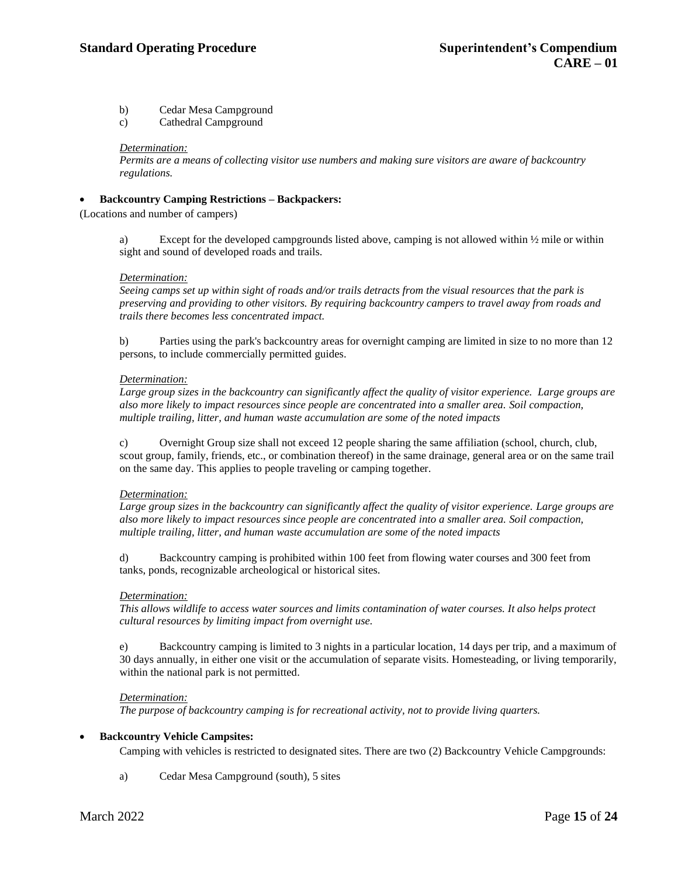## **Standard Operating Procedure Superintendent's Compendium**

b) Cedar Mesa Campground

c) Cathedral Campground

## *Determination:*

*Permits are a means of collecting visitor use numbers and making sure visitors are aware of backcountry regulations.*

## • **Backcountry Camping Restrictions – Backpackers:**

(Locations and number of campers)

a) Except for the developed campgrounds listed above, camping is not allowed within  $\frac{1}{2}$  mile or within sight and sound of developed roads and trails.

## *Determination:*

*Seeing camps set up within sight of roads and/or trails detracts from the visual resources that the park is preserving and providing to other visitors. By requiring backcountry campers to travel away from roads and trails there becomes less concentrated impact.*

b) Parties using the park's backcountry areas for overnight camping are limited in size to no more than 12 persons, to include commercially permitted guides.

## *Determination:*

*Large group sizes in the backcountry can significantly affect the quality of visitor experience. Large groups are also more likely to impact resources since people are concentrated into a smaller area. Soil compaction, multiple trailing, litter, and human waste accumulation are some of the noted impacts*

c) Overnight Group size shall not exceed 12 people sharing the same affiliation (school, church, club, scout group, family, friends, etc., or combination thereof) in the same drainage, general area or on the same trail on the same day. This applies to people traveling or camping together.

## *Determination:*

*Large group sizes in the backcountry can significantly affect the quality of visitor experience. Large groups are also more likely to impact resources since people are concentrated into a smaller area. Soil compaction, multiple trailing, litter, and human waste accumulation are some of the noted impacts*

d) Backcountry camping is prohibited within 100 feet from flowing water courses and 300 feet from tanks, ponds, recognizable archeological or historical sites.

## *Determination:*

*This allows wildlife to access water sources and limits contamination of water courses. It also helps protect cultural resources by limiting impact from overnight use.*

e) Backcountry camping is limited to 3 nights in a particular location, 14 days per trip, and a maximum of 30 days annually, in either one visit or the accumulation of separate visits. Homesteading, or living temporarily, within the national park is not permitted.

## *Determination:*

*The purpose of backcountry camping is for recreational activity, not to provide living quarters.*

## • **Backcountry Vehicle Campsites:**

Camping with vehicles is restricted to designated sites. There are two (2) Backcountry Vehicle Campgrounds:

a) Cedar Mesa Campground (south), 5 sites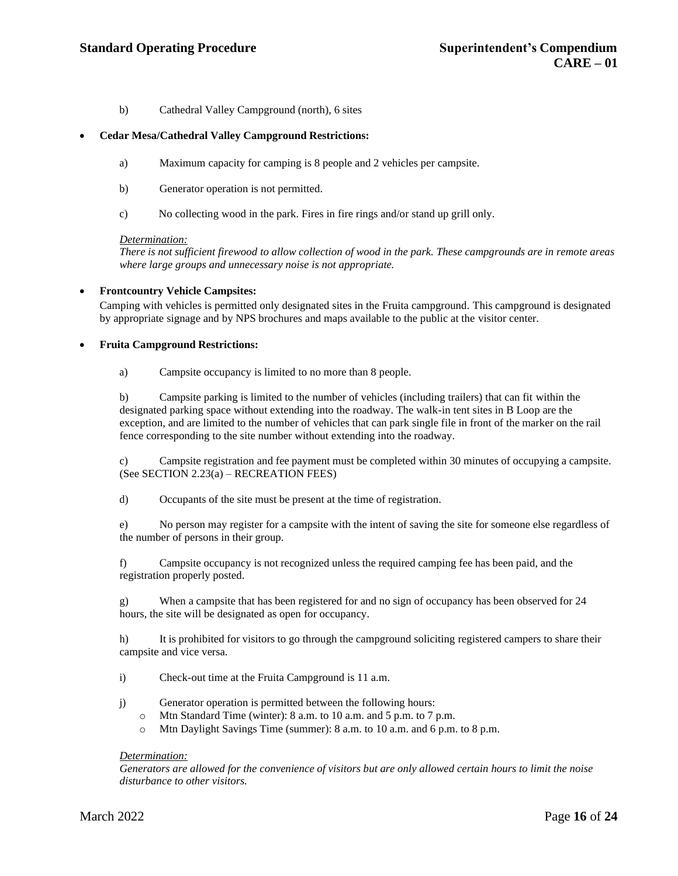b) Cathedral Valley Campground (north), 6 sites

## • **Cedar Mesa/Cathedral Valley Campground Restrictions:**

- a) Maximum capacity for camping is 8 people and 2 vehicles per campsite.
- b) Generator operation is not permitted.
- c) No collecting wood in the park. Fires in fire rings and/or stand up grill only.

#### *Determination:*

*There is not sufficient firewood to allow collection of wood in the park. These campgrounds are in remote areas where large groups and unnecessary noise is not appropriate.*

## • **Frontcountry Vehicle Campsites:**

Camping with vehicles is permitted only designated sites in the Fruita campground. This campground is designated by appropriate signage and by NPS brochures and maps available to the public at the visitor center.

## • **Fruita Campground Restrictions:**

a) Campsite occupancy is limited to no more than 8 people.

b) Campsite parking is limited to the number of vehicles (including trailers) that can fit within the designated parking space without extending into the roadway. The walk-in tent sites in B Loop are the exception, and are limited to the number of vehicles that can park single file in front of the marker on the rail fence corresponding to the site number without extending into the roadway.

c) Campsite registration and fee payment must be completed within 30 minutes of occupying a campsite. (See SECTION 2.23(a) – RECREATION FEES)

d) Occupants of the site must be present at the time of registration.

e) No person may register for a campsite with the intent of saving the site for someone else regardless of the number of persons in their group.

f) Campsite occupancy is not recognized unless the required camping fee has been paid, and the registration properly posted.

g) When a campsite that has been registered for and no sign of occupancy has been observed for 24 hours, the site will be designated as open for occupancy.

h) It is prohibited for visitors to go through the campground soliciting registered campers to share their campsite and vice versa.

i) Check-out time at the Fruita Campground is 11 a.m.

- j) Generator operation is permitted between the following hours:
	- o Mtn Standard Time (winter): 8 a.m. to 10 a.m. and 5 p.m. to 7 p.m.
	- o Mtn Daylight Savings Time (summer): 8 a.m. to 10 a.m. and 6 p.m. to 8 p.m.

## *Determination:*

*Generators are allowed for the convenience of visitors but are only allowed certain hours to limit the noise disturbance to other visitors.*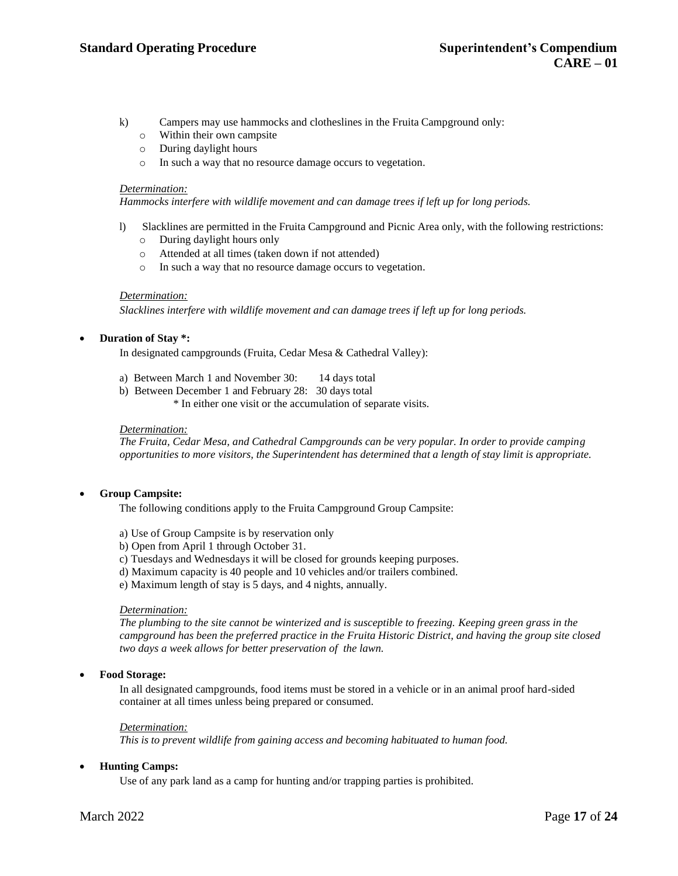- k) Campers may use hammocks and clotheslines in the Fruita Campground only:
	- o Within their own campsite
	- o During daylight hours
	- o In such a way that no resource damage occurs to vegetation.

*Hammocks interfere with wildlife movement and can damage trees if left up for long periods.*

- l) Slacklines are permitted in the Fruita Campground and Picnic Area only, with the following restrictions:
	- o During daylight hours only
	- o Attended at all times (taken down if not attended)
	- o In such a way that no resource damage occurs to vegetation.

## *Determination:*

*Slacklines interfere with wildlife movement and can damage trees if left up for long periods.*

## • **Duration of Stay \*:**

In designated campgrounds (Fruita, Cedar Mesa & Cathedral Valley):

- a) Between March 1 and November 30: 14 days total
- b) Between December 1 and February 28: 30 days total
	- \* In either one visit or the accumulation of separate visits.

## *Determination:*

*The Fruita, Cedar Mesa, and Cathedral Campgrounds can be very popular. In order to provide camping opportunities to more visitors, the Superintendent has determined that a length of stay limit is appropriate.*

## • **Group Campsite:**

The following conditions apply to the Fruita Campground Group Campsite:

- a) Use of Group Campsite is by reservation only
- b) Open from April 1 through October 31.
- c) Tuesdays and Wednesdays it will be closed for grounds keeping purposes.
- d) Maximum capacity is 40 people and 10 vehicles and/or trailers combined.
- e) Maximum length of stay is 5 days, and 4 nights, annually.

#### *Determination:*

*The plumbing to the site cannot be winterized and is susceptible to freezing. Keeping green grass in the campground has been the preferred practice in the Fruita Historic District, and having the group site closed two days a week allows for better preservation of the lawn.*

## • **Food Storage:**

In all designated campgrounds, food items must be stored in a vehicle or in an animal proof hard-sided container at all times unless being prepared or consumed.

#### *Determination:*

*This is to prevent wildlife from gaining access and becoming habituated to human food.*

## • **Hunting Camps:**

Use of any park land as a camp for hunting and/or trapping parties is prohibited.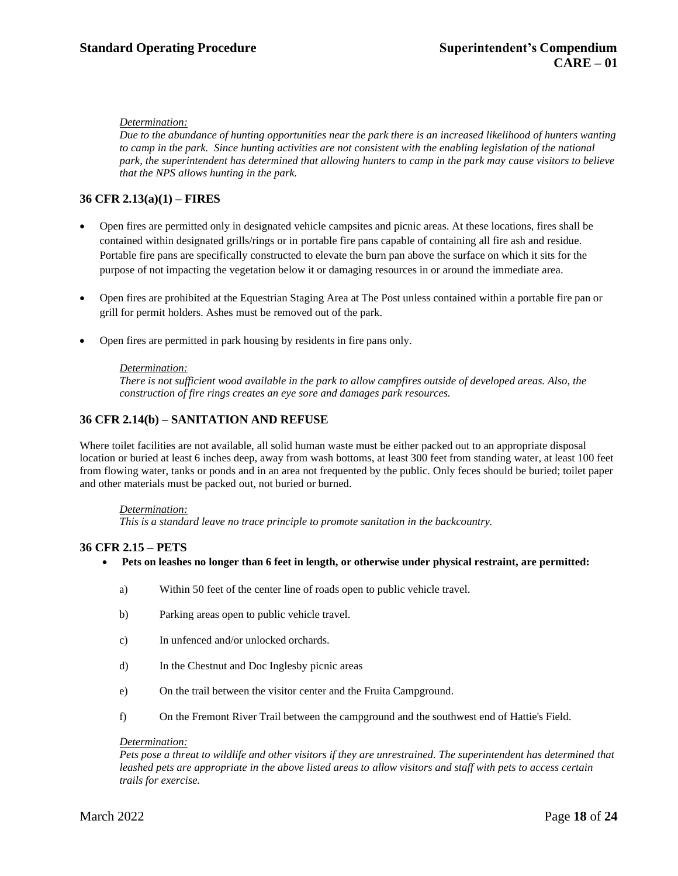*Due to the abundance of hunting opportunities near the park there is an increased likelihood of hunters wanting to camp in the park. Since hunting activities are not consistent with the enabling legislation of the national park, the superintendent has determined that allowing hunters to camp in the park may cause visitors to believe that the NPS allows hunting in the park.*

## **36 CFR 2.13(a)(1) – FIRES**

- Open fires are permitted only in designated vehicle campsites and picnic areas. At these locations, fires shall be contained within designated grills/rings or in portable fire pans capable of containing all fire ash and residue. Portable fire pans are specifically constructed to elevate the burn pan above the surface on which it sits for the purpose of not impacting the vegetation below it or damaging resources in or around the immediate area.
- Open fires are prohibited at the Equestrian Staging Area at The Post unless contained within a portable fire pan or grill for permit holders. Ashes must be removed out of the park.
- Open fires are permitted in park housing by residents in fire pans only.

## *Determination:*

*There is not sufficient wood available in the park to allow campfires outside of developed areas. Also, the construction of fire rings creates an eye sore and damages park resources.*

## **36 CFR 2.14(b) – SANITATION AND REFUSE**

Where toilet facilities are not available, all solid human waste must be either packed out to an appropriate disposal location or buried at least 6 inches deep, away from wash bottoms, at least 300 feet from standing water, at least 100 feet from flowing water, tanks or ponds and in an area not frequented by the public. Only feces should be buried; toilet paper and other materials must be packed out, not buried or burned.

## *Determination:*

*This is a standard leave no trace principle to promote sanitation in the backcountry.*

## **36 CFR 2.15 – PETS**

- **Pets on leashes no longer than 6 feet in length, or otherwise under physical restraint, are permitted:**
	- a) Within 50 feet of the center line of roads open to public vehicle travel.
	- b) Parking areas open to public vehicle travel.
	- c) In unfenced and/or unlocked orchards.
	- d) In the Chestnut and Doc Inglesby picnic areas
	- e) On the trail between the visitor center and the Fruita Campground.
	- f) On the Fremont River Trail between the campground and the southwest end of Hattie's Field.

## *Determination:*

*Pets pose a threat to wildlife and other visitors if they are unrestrained. The superintendent has determined that leashed pets are appropriate in the above listed areas to allow visitors and staff with pets to access certain trails for exercise.*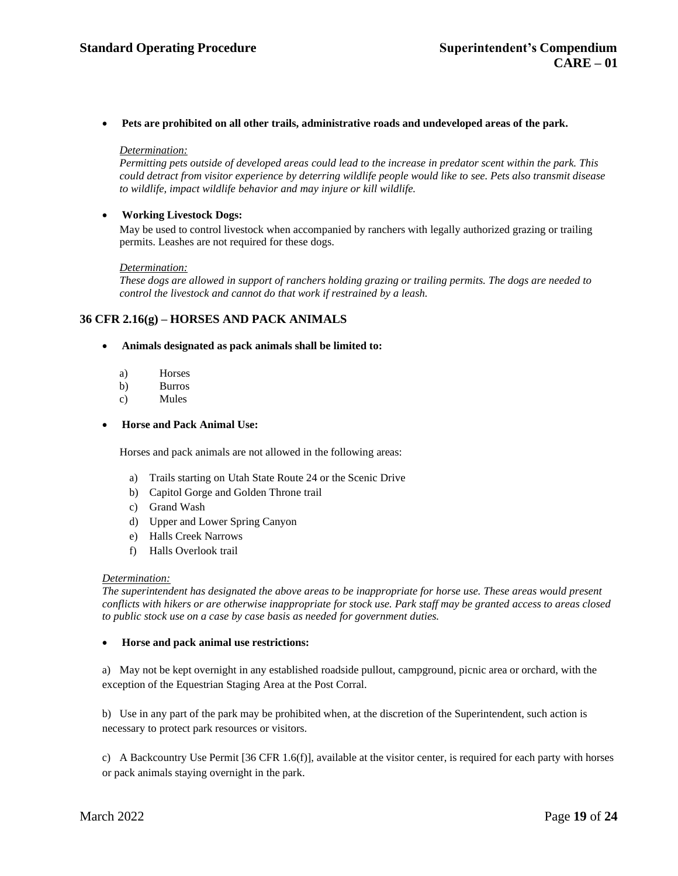• **Pets are prohibited on all other trails, administrative roads and undeveloped areas of the park.**

#### *Determination:*

*Permitting pets outside of developed areas could lead to the increase in predator scent within the park. This could detract from visitor experience by deterring wildlife people would like to see. Pets also transmit disease to wildlife, impact wildlife behavior and may injure or kill wildlife.*

## • **Working Livestock Dogs:**

May be used to control livestock when accompanied by ranchers with legally authorized grazing or trailing permits. Leashes are not required for these dogs.

#### *Determination:*

*These dogs are allowed in support of ranchers holding grazing or trailing permits. The dogs are needed to control the livestock and cannot do that work if restrained by a leash.*

## **36 CFR 2.16(g) – HORSES AND PACK ANIMALS**

#### • **Animals designated as pack animals shall be limited to:**

- a) Horses
- b) Burros
- c) Mules

## • **Horse and Pack Animal Use:**

Horses and pack animals are not allowed in the following areas:

- a) Trails starting on Utah State Route 24 or the Scenic Drive
- b) Capitol Gorge and Golden Throne trail
- c) Grand Wash
- d) Upper and Lower Spring Canyon
- e) Halls Creek Narrows
- f) Halls Overlook trail

#### *Determination:*

*The superintendent has designated the above areas to be inappropriate for horse use. These areas would present* conflicts with hikers or are otherwise inappropriate for stock use. Park staff may be granted access to areas closed *to public stock use on a case by case basis as needed for government duties.*

#### • **Horse and pack animal use restrictions:**

a) May not be kept overnight in any established roadside pullout, campground, picnic area or orchard, with the exception of the Equestrian Staging Area at the Post Corral.

b) Use in any part of the park may be prohibited when, at the discretion of the Superintendent, such action is necessary to protect park resources or visitors.

c) A Backcountry Use Permit [36 CFR 1.6(f)], available at the visitor center, is required for each party with horses or pack animals staying overnight in the park.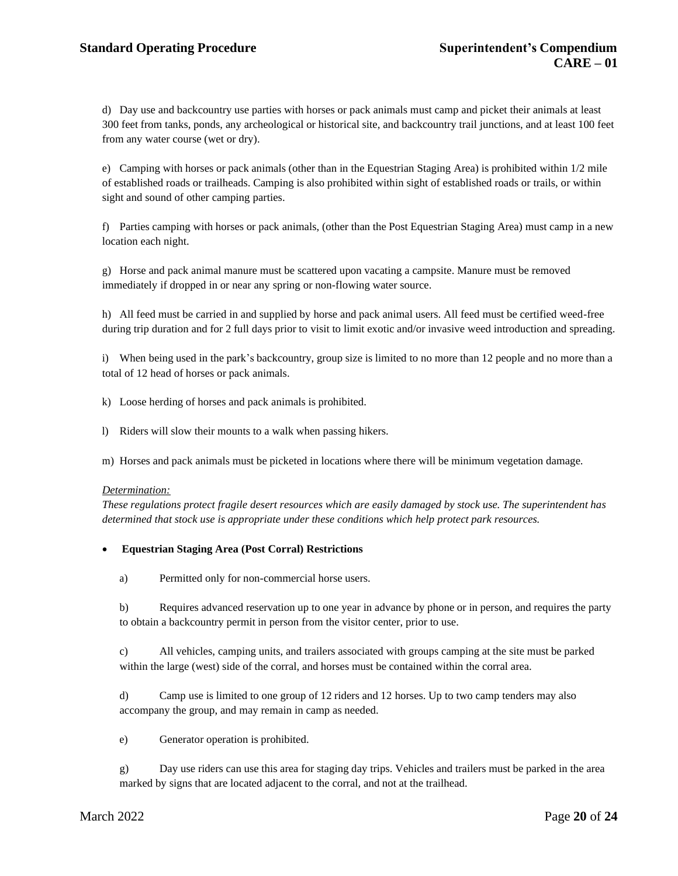d) Day use and backcountry use parties with horses or pack animals must camp and picket their animals at least 300 feet from tanks, ponds, any archeological or historical site, and backcountry trail junctions, and at least 100 feet from any water course (wet or dry).

e) Camping with horses or pack animals (other than in the Equestrian Staging Area) is prohibited within 1/2 mile of established roads or trailheads. Camping is also prohibited within sight of established roads or trails, or within sight and sound of other camping parties.

f) Parties camping with horses or pack animals, (other than the Post Equestrian Staging Area) must camp in a new location each night.

g) Horse and pack animal manure must be scattered upon vacating a campsite. Manure must be removed immediately if dropped in or near any spring or non-flowing water source.

h) All feed must be carried in and supplied by horse and pack animal users. All feed must be certified weed-free during trip duration and for 2 full days prior to visit to limit exotic and/or invasive weed introduction and spreading.

i) When being used in the park's backcountry, group size is limited to no more than 12 people and no more than a total of 12 head of horses or pack animals.

k) Loose herding of horses and pack animals is prohibited.

l) Riders will slow their mounts to a walk when passing hikers.

m) Horses and pack animals must be picketed in locations where there will be minimum vegetation damage.

## *Determination:*

*These regulations protect fragile desert resources which are easily damaged by stock use. The superintendent has determined that stock use is appropriate under these conditions which help protect park resources.*

## • **Equestrian Staging Area (Post Corral) Restrictions**

a) Permitted only for non-commercial horse users.

b) Requires advanced reservation up to one year in advance by phone or in person, and requires the party to obtain a backcountry permit in person from the visitor center, prior to use.

c) All vehicles, camping units, and trailers associated with groups camping at the site must be parked within the large (west) side of the corral, and horses must be contained within the corral area.

d) Camp use is limited to one group of 12 riders and 12 horses. Up to two camp tenders may also accompany the group, and may remain in camp as needed.

e) Generator operation is prohibited.

g) Day use riders can use this area for staging day trips. Vehicles and trailers must be parked in the area marked by signs that are located adjacent to the corral, and not at the trailhead.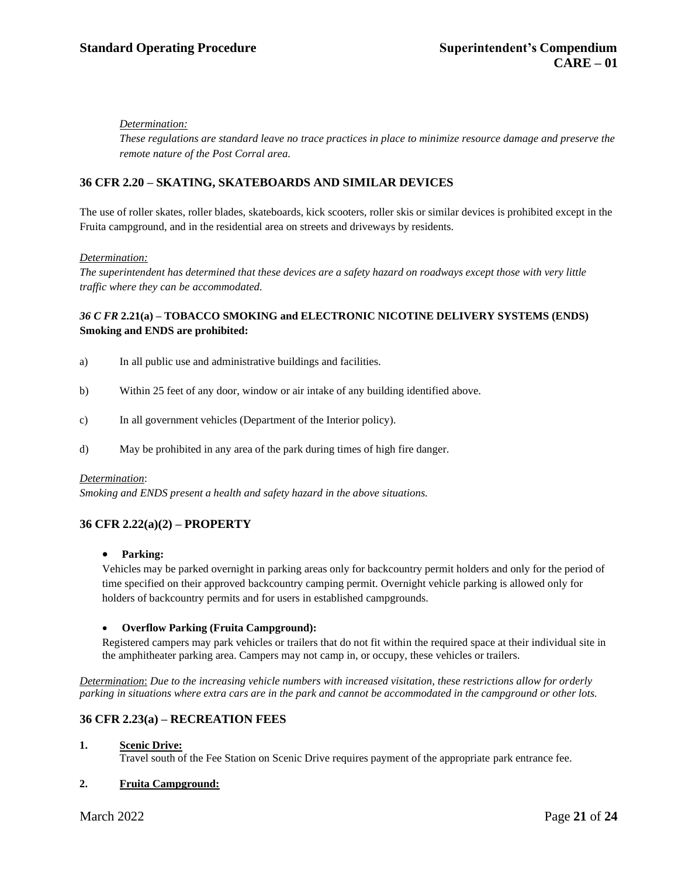*These regulations are standard leave no trace practices in place to minimize resource damage and preserve the remote nature of the Post Corral area.*

## **36 CFR 2.20 – SKATING, SKATEBOARDS AND SIMILAR DEVICES**

The use of roller skates, roller blades, skateboards, kick scooters, roller skis or similar devices is prohibited except in the Fruita campground, and in the residential area on streets and driveways by residents.

## *Determination:*

The superintendent has determined that these devices are a safety hazard on roadways except those with very little *traffic where they can be accommodated.*

## *36 C FR* **2.21(a) – TOBACCO SMOKING and ELECTRONIC NICOTINE DELIVERY SYSTEMS (ENDS) Smoking and ENDS are prohibited:**

- a) In all public use and administrative buildings and facilities.
- b) Within 25 feet of any door, window or air intake of any building identified above.
- c) In all government vehicles (Department of the Interior policy).
- d) May be prohibited in any area of the park during times of high fire danger.

#### *Determination*:

*Smoking and ENDS present a health and safety hazard in the above situations.*

## **36 CFR 2.22(a)(2) – PROPERTY**

#### • **Parking:**

Vehicles may be parked overnight in parking areas only for backcountry permit holders and only for the period of time specified on their approved backcountry camping permit. Overnight vehicle parking is allowed only for holders of backcountry permits and for users in established campgrounds.

#### • **Overflow Parking (Fruita Campground):**

Registered campers may park vehicles or trailers that do not fit within the required space at their individual site in the amphitheater parking area. Campers may not camp in, or occupy, these vehicles or trailers.

*Determination*: *Due to the increasing vehicle numbers with increased visitation, these restrictions allow for orderly parking in situations where extra cars are in the park and cannot be accommodated in the campground or other lots.*

## **36 CFR 2.23(a) – RECREATION FEES**

## **1. Scenic Drive:**

Travel south of the Fee Station on Scenic Drive requires payment of the appropriate park entrance fee.

## **2. Fruita Campground:**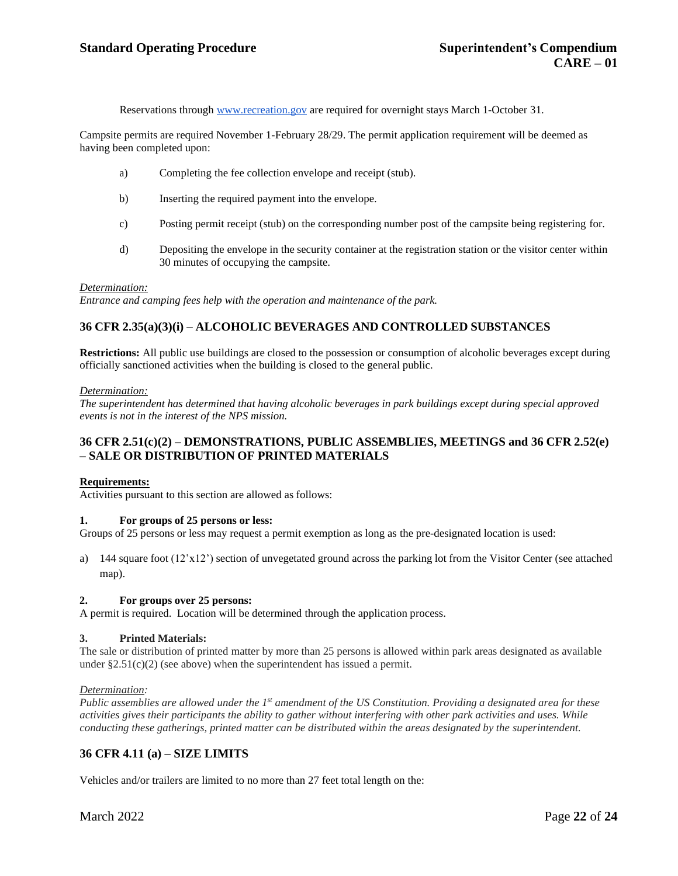Reservations throug[h www.recreation.gov](http://www.recreation.gov/) are required for overnight stays March 1-October 31.

Campsite permits are required November 1-February 28/29. The permit application requirement will be deemed as having been completed upon:

- a) Completing the fee collection envelope and receipt (stub).
- b) Inserting the required payment into the envelope.
- c) Posting permit receipt (stub) on the corresponding number post of the campsite being registering for.
- d) Depositing the envelope in the security container at the registration station or the visitor center within 30 minutes of occupying the campsite.

#### *Determination:*

*Entrance and camping fees help with the operation and maintenance of the park.*

## **36 CFR 2.35(a)(3)(i) – ALCOHOLIC BEVERAGES AND CONTROLLED SUBSTANCES**

**Restrictions:** All public use buildings are closed to the possession or consumption of alcoholic beverages except during officially sanctioned activities when the building is closed to the general public.

#### *Determination:*

*The superintendent has determined that having alcoholic beverages in park buildings except during special approved events is not in the interest of the NPS mission.*

## **36 CFR 2.51(c)(2) – DEMONSTRATIONS, PUBLIC ASSEMBLIES, MEETINGS and 36 CFR 2.52(e) – SALE OR DISTRIBUTION OF PRINTED MATERIALS**

#### **Requirements:**

Activities pursuant to this section are allowed as follows:

#### **1. For groups of 25 persons or less:**

Groups of 25 persons or less may request a permit exemption as long as the pre-designated location is used:

a) 144 square foot (12'x12') section of unvegetated ground across the parking lot from the Visitor Center (see attached map).

#### **2. For groups over 25 persons:**

A permit is required. Location will be determined through the application process.

## **3. Printed Materials:**

The sale or distribution of printed matter by more than 25 persons is allowed within park areas designated as available under  $\S 2.51(c)(2)$  (see above) when the superintendent has issued a permit.

#### *Determination:*

*Public assemblies are allowed under the 1 st amendment of the US Constitution. Providing a designated area for these activities gives their participants the ability to gather without interfering with other park activities and uses. While conducting these gatherings, printed matter can be distributed within the areas designated by the superintendent.*

## **36 CFR 4.11 (a) – SIZE LIMITS**

Vehicles and/or trailers are limited to no more than 27 feet total length on the: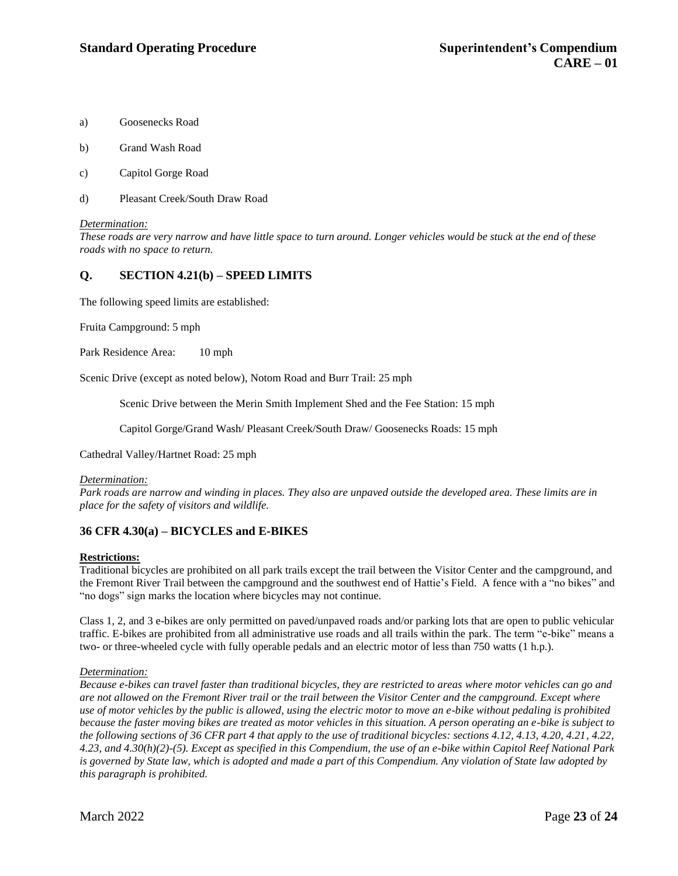- a) Goosenecks Road
- b) Grand Wash Road
- c) Capitol Gorge Road
- d) Pleasant Creek/South Draw Road

These roads are very narrow and have little space to turn around. Longer vehicles would be stuck at the end of these *roads with no space to return.*

## **Q. SECTION 4.21(b) – SPEED LIMITS**

The following speed limits are established:

Fruita Campground: 5 mph

Park Residence Area: 10 mph

Scenic Drive (except as noted below), Notom Road and Burr Trail: 25 mph

Scenic Drive between the Merin Smith Implement Shed and the Fee Station: 15 mph

Capitol Gorge/Grand Wash/ Pleasant Creek/South Draw/ Goosenecks Roads: 15 mph

Cathedral Valley/Hartnet Road: 25 mph

#### *Determination:*

*Park roads are narrow and winding in places. They also are unpaved outside the developed area. These limits are in place for the safety of visitors and wildlife.*

## **36 CFR 4.30(a) – BICYCLES and E-BIKES**

#### **Restrictions:**

Traditional bicycles are prohibited on all park trails except the trail between the Visitor Center and the campground, and the Fremont River Trail between the campground and the southwest end of Hattie's Field. A fence with a "no bikes" and "no dogs" sign marks the location where bicycles may not continue.

Class 1, 2, and 3 e-bikes are only permitted on paved/unpaved roads and/or parking lots that are open to public vehicular traffic. E-bikes are prohibited from all administrative use roads and all trails within the park. The term "e-bike" means a two- or three-wheeled cycle with fully operable pedals and an electric motor of less than 750 watts (1 h.p.).

## *Determination:*

*Because e-bikes can travel faster than traditional bicycles, they are restricted to areas where motor vehicles can go and are not allowed on the Fremont River trail or the trail between the Visitor Center and the campground. Except where use of motor vehicles by the public is allowed, using the electric motor to move an e-bike without pedaling is prohibited because the faster moving bikes are treated as motor vehicles in this situation. A person operating an e-bike is subject to the following sections of 36 CFR part 4 that apply to the use of traditional bicycles: sections 4.12, 4.13, 4.20, 4.21, 4.22, 4.23, and 4.30(h)(2)-(5). Except as specified in this Compendium, the use of an e-bike within Capitol Reef National Park is governed by State law, which is adopted and made a part of this Compendium. Any violation of State law adopted by this paragraph is prohibited.*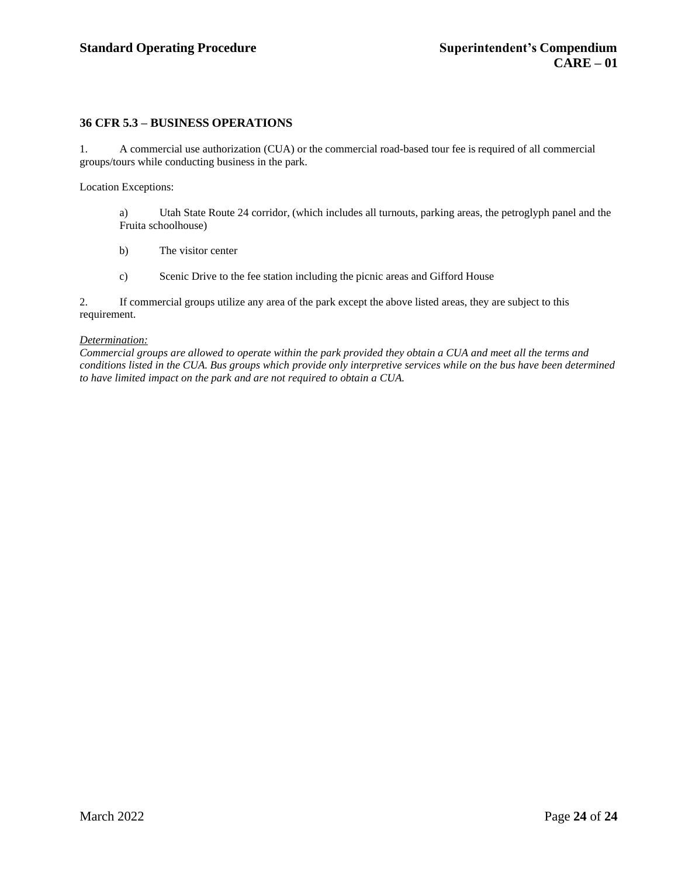## **36 CFR 5.3 – BUSINESS OPERATIONS**

1. A commercial use authorization (CUA) or the commercial road-based tour fee is required of all commercial groups/tours while conducting business in the park.

Location Exceptions:

a) Utah State Route 24 corridor, (which includes all turnouts, parking areas, the petroglyph panel and the Fruita schoolhouse)

- b) The visitor center
- c) Scenic Drive to the fee station including the picnic areas and Gifford House

2. If commercial groups utilize any area of the park except the above listed areas, they are subject to this requirement.

## *Determination:*

*Commercial groups are allowed to operate within the park provided they obtain a CUA and meet all the terms and* conditions listed in the CUA. Bus groups which provide only interpretive services while on the bus have been determined *to have limited impact on the park and are not required to obtain a CUA.*